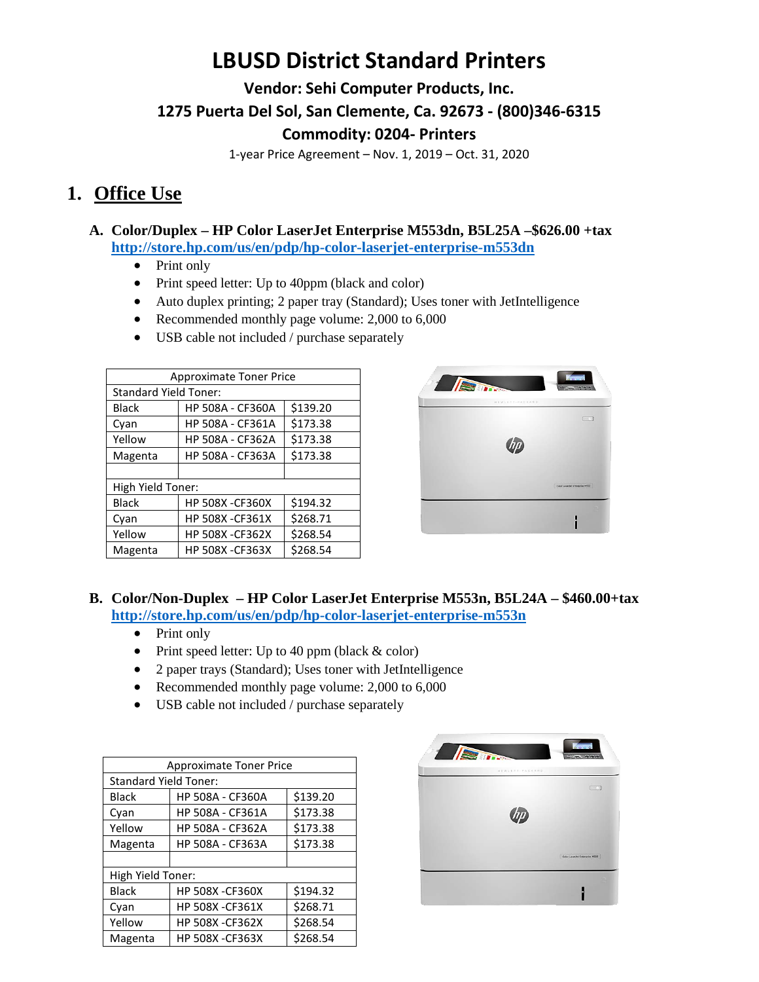# **LBUSD District Standard Printers**

**Vendor: Sehi Computer Products, Inc.**

**1275 Puerta Del Sol, San Clemente, Ca. 92673 - (800)346-6315**

## **Commodity: 0204- Printers**

1-year Price Agreement – Nov. 1, 2019 – Oct. 31, 2020

## **1. Office Use**

### **A. Color/Duplex – HP Color LaserJet Enterprise M553dn, B5L25A –\$626.00 +tax <http://store.hp.com/us/en/pdp/hp-color-laserjet-enterprise-m553dn>**

- Print only
- Print speed letter: Up to 40ppm (black and color)
- Auto duplex printing; 2 paper tray (Standard); Uses toner with JetIntelligence
- Recommended monthly page volume: 2,000 to 6,000
- USB cable not included / purchase separately

| <b>Approximate Toner Price</b> |                         |          |
|--------------------------------|-------------------------|----------|
| <b>Standard Yield Toner:</b>   |                         |          |
| <b>Black</b>                   | <b>HP 508A - CF360A</b> | \$139.20 |
| Cyan                           | <b>HP 508A - CF361A</b> | \$173.38 |
| Yellow                         | <b>HP 508A - CF362A</b> | \$173.38 |
| Magenta                        | <b>HP 508A - CF363A</b> | \$173.38 |
|                                |                         |          |
| High Yield Toner:              |                         |          |
| <b>Black</b>                   | <b>HP 508X -CF360X</b>  | \$194.32 |
| Cyan                           | <b>HP 508X -CF361X</b>  | \$268.71 |
| Yellow                         | <b>HP 508X -CF362X</b>  | \$268.54 |
| Magenta                        | <b>HP 508X -CF363X</b>  | \$268.54 |



## **B. Color/Non-Duplex – HP Color LaserJet Enterprise M553n, B5L24A – \$460.00+tax <http://store.hp.com/us/en/pdp/hp-color-laserjet-enterprise-m553n>**

- Print only
- Print speed letter: Up to 40 ppm (black & color)
- 2 paper trays (Standard); Uses toner with JetIntelligence
- Recommended monthly page volume: 2,000 to 6,000
- USB cable not included / purchase separately

| <b>Approximate Toner Price</b> |                         |          |
|--------------------------------|-------------------------|----------|
| <b>Standard Yield Toner:</b>   |                         |          |
| <b>Black</b>                   | HP 508A - CF360A        | \$139.20 |
| Cyan                           | HP 508A - CF361A        | \$173.38 |
| Yellow                         | <b>HP 508A - CF362A</b> | \$173.38 |
| Magenta                        | HP 508A - CF363A        | \$173.38 |
|                                |                         |          |
| High Yield Toner:              |                         |          |
| <b>Black</b>                   | <b>HP 508X -CF360X</b>  | \$194.32 |
| Cyan                           | <b>HP 508X -CF361X</b>  | \$268.71 |
| Yellow                         | <b>HP 508X -CF362X</b>  | \$268.54 |
| Magenta                        | <b>HP 508X -CF363X</b>  | \$268.54 |

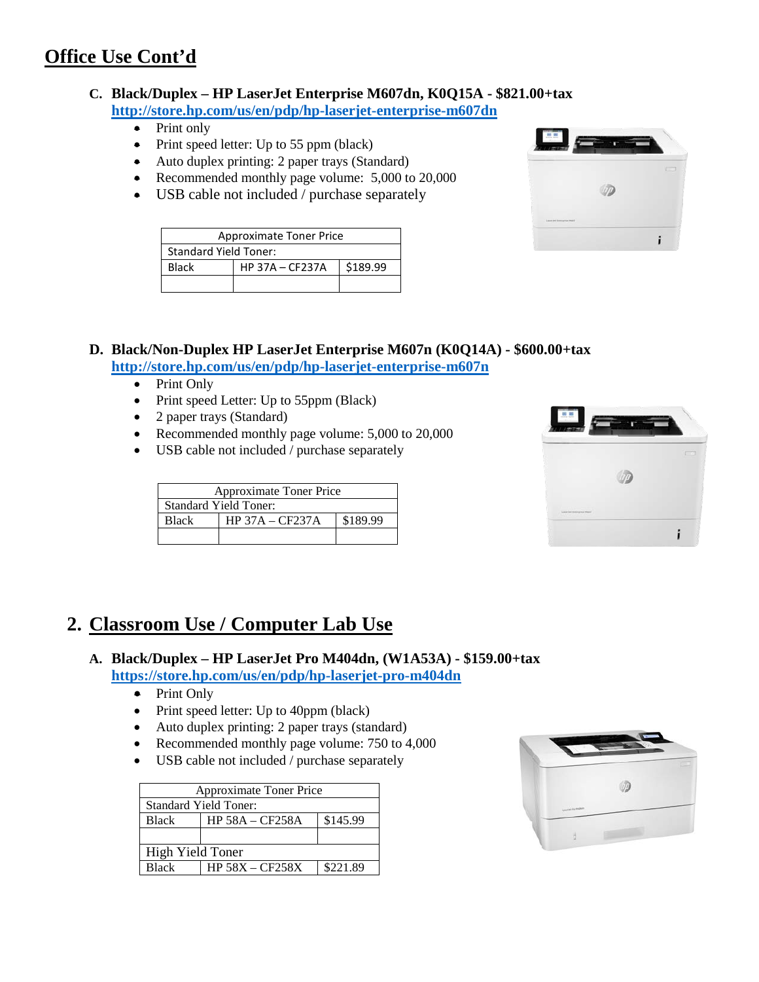# **Office Use Cont'd**

#### **C. Black/Duplex – HP LaserJet Enterprise M607dn, K0Q15A - \$821.00+tax <http://store.hp.com/us/en/pdp/hp-laserjet-enterprise-m607dn>**

- Print only
- Print speed letter: Up to 55 ppm (black)
- Auto duplex printing: 2 paper trays (Standard)
- Recommended monthly page volume: 5,000 to 20,000
- USB cable not included / purchase separately

| <b>Approximate Toner Price</b>              |  |  |  |
|---------------------------------------------|--|--|--|
| <b>Standard Yield Toner:</b>                |  |  |  |
| \$189.99<br><b>HP 37A - CF237A</b><br>Black |  |  |  |
|                                             |  |  |  |



### **D. Black/Non-Duplex HP LaserJet Enterprise M607n (K0Q14A) - \$600.00+tax <http://store.hp.com/us/en/pdp/hp-laserjet-enterprise-m607n>**

- Print Only
- Print speed Letter: Up to 55ppm (Black)
- 2 paper trays (Standard)
- Recommended monthly page volume: 5,000 to 20,000
- USB cable not included / purchase separately

| <b>Approximate Toner Price</b>                |  |  |
|-----------------------------------------------|--|--|
| <b>Standard Yield Toner:</b>                  |  |  |
| $HP$ 37A – CF237A<br>\$189.99<br><b>Black</b> |  |  |
|                                               |  |  |



# **2. Classroom Use / Computer Lab Use**

## **A. Black/Duplex – HP LaserJet Pro M404dn, (W1A53A) - \$159.00+tax <https://store.hp.com/us/en/pdp/hp-laserjet-pro-m404dn>**

- Print Only
- Print speed letter: Up to 40ppm (black)
- Auto duplex printing: 2 paper trays (standard)
- Recommended monthly page volume: 750 to 4,000
- USB cable not included / purchase separately

| <b>Approximate Toner Price</b> |                               |          |
|--------------------------------|-------------------------------|----------|
| <b>Standard Yield Toner:</b>   |                               |          |
| <b>Black</b>                   | \$145.99<br>$HP$ 58A – CF258A |          |
|                                |                               |          |
| High Yield Toner               |                               |          |
| <b>Black</b>                   | $HP$ 58X – CF258X             | \$221.89 |

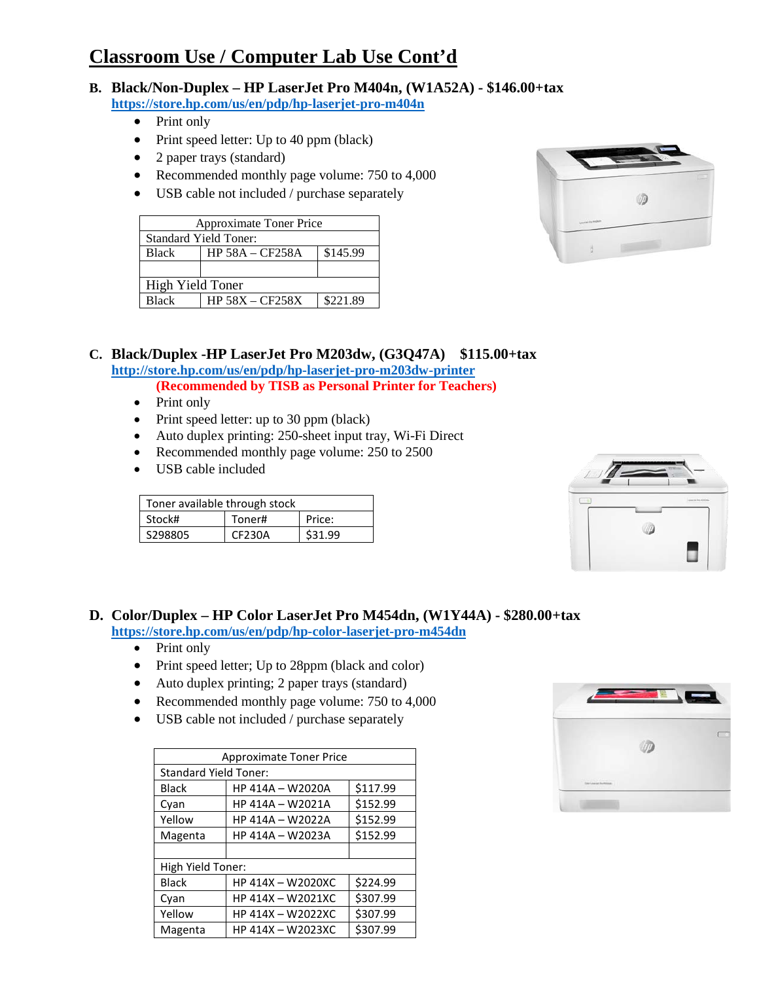# **Classroom Use / Computer Lab Use Cont'd**

- **B. Black/Non-Duplex – HP LaserJet Pro M404n, (W1A52A) - \$146.00+tax <https://store.hp.com/us/en/pdp/hp-laserjet-pro-m404n>**
	- Print only
	- Print speed letter: Up to 40 ppm (black)
	- 2 paper trays (standard)
	- Recommended monthly page volume: 750 to 4,000
	- USB cable not included / purchase separately

| <b>Approximate Toner Price</b> |                               |          |
|--------------------------------|-------------------------------|----------|
| <b>Standard Yield Toner:</b>   |                               |          |
| <b>Black</b>                   | \$145.99<br>$HP$ 58A – CF258A |          |
|                                |                               |          |
| High Yield Toner               |                               |          |
| <b>Black</b>                   | $HP$ 58X – CF258X             | \$221.89 |



#### **C. Black/Duplex -HP LaserJet Pro M203dw, (G3Q47A) \$115.00+tax <http://store.hp.com/us/en/pdp/hp-laserjet-pro-m203dw-printer>**

**(Recommended by TISB as Personal Printer for Teachers)**

- 
- Print only
- Print speed letter: up to 30 ppm (black)
- Auto duplex printing: 250-sheet input tray, Wi-Fi Direct
- Recommended monthly page volume: 250 to 2500
- USB cable included

| Toner available through stock |        |         |
|-------------------------------|--------|---------|
| Stock#                        | Toner# | Price:  |
| S298805                       | CF230A | \$31.99 |



#### **D. Color/Duplex – HP Color LaserJet Pro M454dn, (W1Y44A) - \$280.00+tax**

**https://store.hp.com/us/en/pdp/hp-color-laserjet-pro-m454dn**

- Print only
- Print speed letter; Up to 28ppm (black and color)
- Auto duplex printing; 2 paper trays (standard)
- Recommended monthly page volume: 750 to 4,000
- USB cable not included / purchase separately

| <b>Approximate Toner Price</b> |                   |          |
|--------------------------------|-------------------|----------|
| <b>Standard Yield Toner:</b>   |                   |          |
| <b>Black</b>                   | HP 414A - W2020A  | \$117.99 |
| Cyan                           | HP 414A - W2021A  | \$152.99 |
| Yellow                         | HP 414A - W2022A  | \$152.99 |
| Magenta                        | HP 414A - W2023A  | \$152.99 |
|                                |                   |          |
| High Yield Toner:              |                   |          |
| <b>Black</b>                   | HP 414X - W2020XC | \$224.99 |
| Cyan                           | HP 414X - W2021XC | \$307.99 |
| Yellow                         | HP 414X - W2022XC | \$307.99 |
| Magenta                        | HP 414X - W2023XC | \$307.99 |

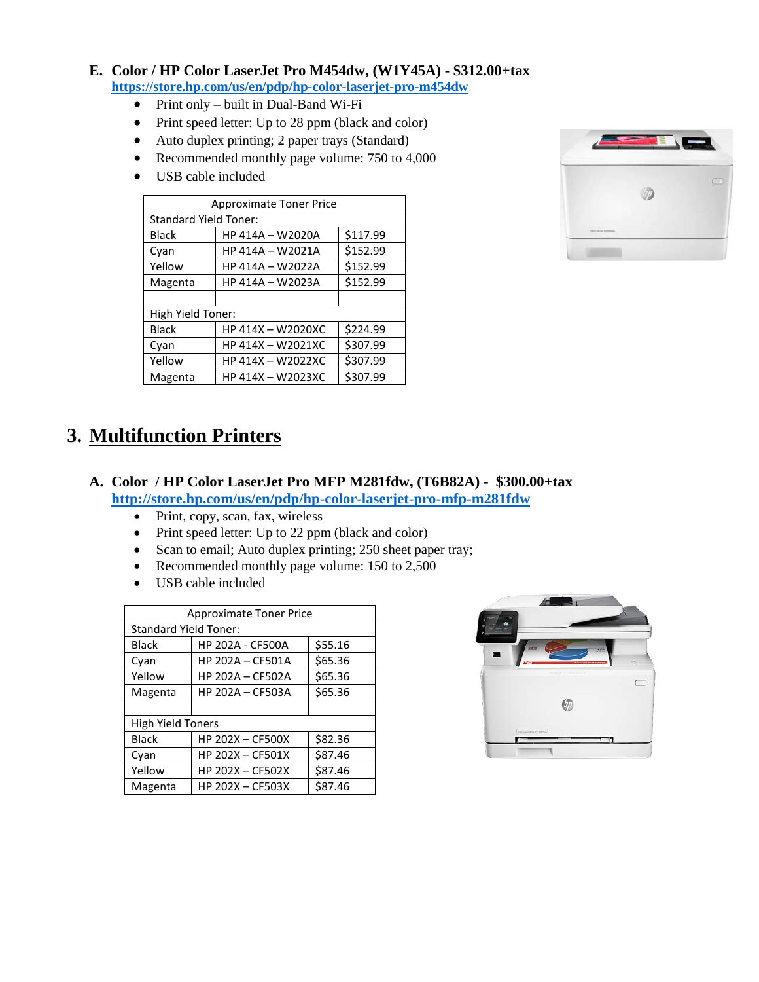### **E. Color / HP Color LaserJet Pro M454dw, (W1Y45A) - \$312.00+tax <https://store.hp.com/us/en/pdp/hp-color-laserjet-pro-m454dw>**

- Print only built in Dual-Band Wi-Fi
- Print speed letter: Up to 28 ppm (black and color)
- Auto duplex printing; 2 paper trays (Standard)
- Recommended monthly page volume: 750 to 4,000
- USB cable included

| <b>Approximate Toner Price</b> |                   |          |
|--------------------------------|-------------------|----------|
| <b>Standard Yield Toner:</b>   |                   |          |
| Black                          | HP 414A - W2020A  | \$117.99 |
| Cyan                           | HP 414A - W2021A  | \$152.99 |
| Yellow                         | HP 414A - W2022A  | \$152.99 |
| Magenta                        | HP 414A - W2023A  | \$152.99 |
|                                |                   |          |
| High Yield Toner:              |                   |          |
| <b>Black</b>                   | HP 414X - W2020XC | \$224.99 |
| Cyan                           | HP 414X - W2021XC | \$307.99 |
| Yellow                         | HP 414X - W2022XC | \$307.99 |
| Magenta                        | HP 414X - W2023XC | \$307.99 |



## **3. Multifunction Printers**

### **A. Color / HP Color LaserJet Pro MFP M281fdw, (T6B82A) - \$300.00+tax <http://store.hp.com/us/en/pdp/hp-color-laserjet-pro-mfp-m281fdw>**

- Print, copy, scan, fax, wireless
- Print speed letter: Up to 22 ppm (black and color)
- Scan to email; Auto duplex printing; 250 sheet paper tray;
- Recommended monthly page volume: 150 to 2,500
- USB cable included

| <b>Approximate Toner Price</b> |                         |         |
|--------------------------------|-------------------------|---------|
| <b>Standard Yield Toner:</b>   |                         |         |
| <b>Black</b>                   | <b>HP 202A - CF500A</b> | \$55.16 |
| Cyan                           | <b>HP 202A - CF501A</b> | \$65.36 |
| Yellow                         | <b>HP 202A - CF502A</b> | \$65.36 |
| Magenta                        | <b>HP 202A - CF503A</b> | \$65.36 |
|                                |                         |         |
| <b>High Yield Toners</b>       |                         |         |
| <b>Black</b>                   | <b>HP 202X - CF500X</b> | \$82.36 |
| Cyan                           | <b>HP 202X - CF501X</b> | \$87.46 |
| Yellow                         | <b>HP 202X - CF502X</b> | \$87.46 |
| Magenta                        | HP 202X - CF503X        | \$87.46 |

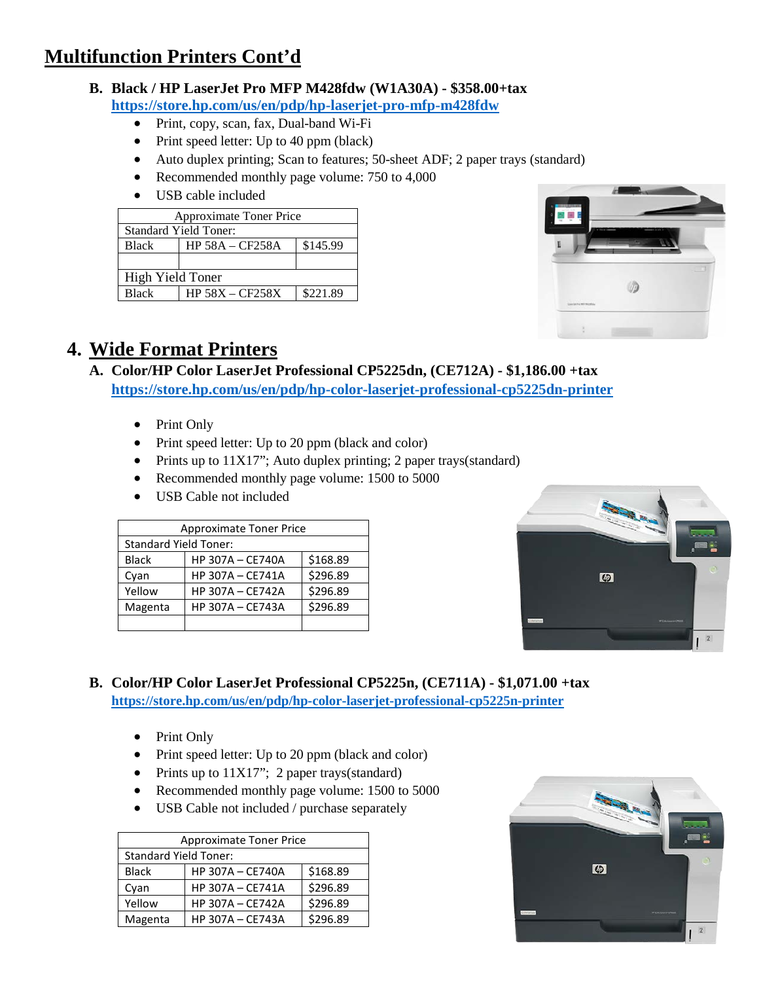# **Multifunction Printers Cont'd**

#### **B. Black / HP LaserJet Pro MFP M428fdw (W1A30A) - \$358.00+tax https://store.hp.com/us/en/pdp/hp-laserjet-pro-mfp-m428fdw**

- Print, copy, scan, fax, Dual-band Wi-Fi
- Print speed letter: Up to 40 ppm (black)
- Auto duplex printing; Scan to features; 50-sheet ADF; 2 paper trays (standard)
- Recommended monthly page volume: 750 to 4,000
- USB cable included

| <b>Approximate Toner Price</b> |                               |          |  |
|--------------------------------|-------------------------------|----------|--|
| <b>Standard Yield Toner:</b>   |                               |          |  |
| <b>Black</b>                   | \$145.99<br>$HP 58A - CF258A$ |          |  |
|                                |                               |          |  |
| High Yield Toner               |                               |          |  |
| <b>Black</b>                   | $HP$ 58X – CF258X             | \$221.89 |  |



# **4. Wide Format Printers**

- **A. Color/HP Color LaserJet Professional CP5225dn, (CE712A) - \$1,186.00 +tax <https://store.hp.com/us/en/pdp/hp-color-laserjet-professional-cp5225dn-printer>**
	- Print Only
	- Print speed letter: Up to 20 ppm (black and color)
	- Prints up to  $11X17$ "; Auto duplex printing; 2 paper trays(standard)
	- Recommended monthly page volume: 1500 to 5000
	- USB Cable not included

| <b>Approximate Toner Price</b> |                         |          |
|--------------------------------|-------------------------|----------|
| <b>Standard Yield Toner:</b>   |                         |          |
| <b>Black</b>                   | <b>HP 307A - CE740A</b> | \$168.89 |
| Cyan                           | HP 307A - CE741A        | \$296.89 |
| Yellow                         | <b>HP 307A - CE742A</b> | \$296.89 |
| Magenta                        | HP 307A - CE743A        | \$296.89 |
|                                |                         |          |



- **B. Color/HP Color LaserJet Professional CP5225n, (CE711A) - \$1,071.00 +tax <https://store.hp.com/us/en/pdp/hp-color-laserjet-professional-cp5225n-printer>**
	- Print Only
	- Print speed letter: Up to 20 ppm (black and color)
	- Prints up to 11X17"; 2 paper trays(standard)
	- Recommended monthly page volume: 1500 to 5000
	- USB Cable not included / purchase separately

| <b>Approximate Toner Price</b> |                         |          |
|--------------------------------|-------------------------|----------|
| <b>Standard Yield Toner:</b>   |                         |          |
| <b>Black</b>                   | <b>HP 307A - CE740A</b> | \$168.89 |
| Cyan                           | HP 307A - CE741A        | \$296.89 |
| Yellow                         | HP 307A - CE742A        | \$296.89 |
| Magenta                        | HP 307A - CE743A        | \$296.89 |

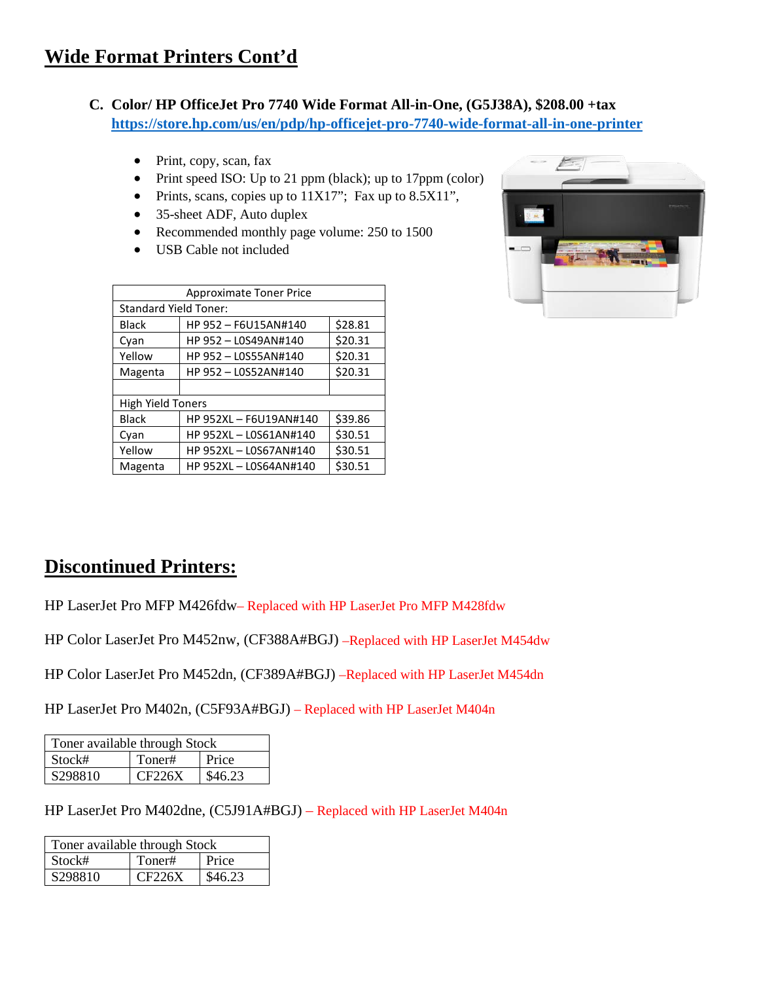- **C. Color/ HP OfficeJet Pro 7740 Wide Format All-in-One, (G5J38A), \$208.00 +tax <https://store.hp.com/us/en/pdp/hp-officejet-pro-7740-wide-format-all-in-one-printer>**
	- Print, copy, scan, fax
	- Print speed ISO: Up to 21 ppm (black); up to 17ppm (color)
	- Prints, scans, copies up to 11X17"; Fax up to 8.5X11",
	- 35-sheet ADF, Auto duplex
	- Recommended monthly page volume: 250 to 1500
	- USB Cable not included

| <b>Approximate Toner Price</b> |                        |         |
|--------------------------------|------------------------|---------|
| <b>Standard Yield Toner:</b>   |                        |         |
| <b>Black</b>                   | HP 952 - F6U15AN#140   | \$28.81 |
| Cyan                           | HP 952 - LOS49AN#140   | \$20.31 |
| Yellow                         | HP 952 - LOS55AN#140   | \$20.31 |
| Magenta                        | HP 952 - LOS52AN#140   | \$20.31 |
|                                |                        |         |
| <b>High Yield Toners</b>       |                        |         |
| <b>Black</b>                   | HP 952XL - F6U19AN#140 | \$39.86 |
| Cyan                           | HP 952XL - LOS61AN#140 | \$30.51 |
| Yellow                         | HP 952XL - LOS67AN#140 | \$30.51 |
| Magenta                        | HP 952XL - LOS64AN#140 | \$30.51 |



# **Discontinued Printers:**

HP LaserJet Pro MFP M426fdw– Replaced with HP LaserJet Pro MFP M428fdw

HP Color LaserJet Pro M452nw, (CF388A#BGJ) –Replaced with HP LaserJet M454dw

HP Color LaserJet Pro M452dn, (CF389A#BGJ) –Replaced with HP LaserJet M454dn

HP LaserJet Pro M402n, (C5F93A#BGJ) – Replaced with HP LaserJet M404n

| Toner available through Stock |        |         |
|-------------------------------|--------|---------|
| Stock#                        | Toner# | Price   |
| S298810                       | CF226X | \$46.23 |

HP LaserJet Pro M402dne, (C5J91A#BGJ) – Replaced with HP LaserJet M404n

| Toner available through Stock |        |         |
|-------------------------------|--------|---------|
| Stock#                        | Toner# | Price   |
| S298810                       | CF226X | \$46.23 |